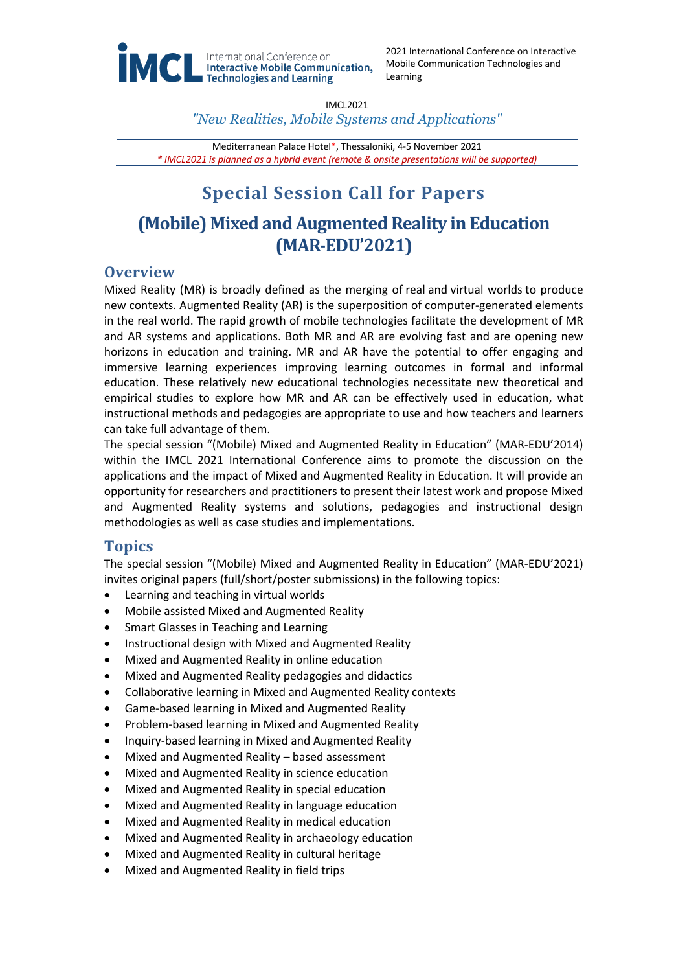

2021 International Conference on Interactive Mobile Communication Technologies and Learning

IMCL2021

*"New Realities, Mobile Systems and Applications"*

Mediterranean Palace Hotel\*, Thessaloniki, 4-5 November 2021 *\* IMCL2021 is planned as a hybrid event (remote & onsite presentations will be supported)*

# **Special Session Call for Papers**

## **(Mobile) Mixed and Augmented Reality in Education (MAR-EDU'2021)**

## **Overview**

Mixed Reality (MR) is broadly defined as the merging of real and virtual worlds to produce new contexts. Augmented Reality (AR) is the superposition of computer-generated elements in the real world. The rapid growth of mobile technologies facilitate the development of MR and AR systems and applications. Both MR and AR are evolving fast and are opening new horizons in education and training. MR and AR have the potential to offer engaging and immersive learning experiences improving learning outcomes in formal and informal education. These relatively new educational technologies necessitate new theoretical and empirical studies to explore how MR and AR can be effectively used in education, what instructional methods and pedagogies are appropriate to use and how teachers and learners can take full advantage of them.

The special session "(Mobile) Mixed and Augmented Reality in Education" (MAR-EDU'2014) within the IMCL 2021 International Conference aims to promote the discussion on the applications and the impact of Mixed and Augmented Reality in Education. It will provide an opportunity for researchers and practitioners to present their latest work and propose Mixed and Augmented Reality systems and solutions, pedagogies and instructional design methodologies as well as case studies and implementations.

## **Topics**

The special session "(Mobile) Mixed and Augmented Reality in Education" (MAR-EDU'2021) invites original papers (full/short/poster submissions) in the following topics:

- Learning and teaching in virtual worlds
- Mobile assisted Mixed and Augmented Reality
- Smart Glasses in Teaching and Learning
- Instructional design with Mixed and Augmented Reality
- Mixed and Augmented Reality in online education
- Mixed and Augmented Reality pedagogies and didactics
- Collaborative learning in Mixed and Augmented Reality contexts
- Game-based learning in Mixed and Augmented Reality
- Problem-based learning in Mixed and Augmented Reality
- Inquiry-based learning in Mixed and Augmented Reality
- Mixed and Augmented Reality based assessment
- Mixed and Augmented Reality in science education
- Mixed and Augmented Reality in special education
- Mixed and Augmented Reality in language education
- Mixed and Augmented Reality in medical education
- Mixed and Augmented Reality in archaeology education
- Mixed and Augmented Reality in cultural heritage
- Mixed and Augmented Reality in field trips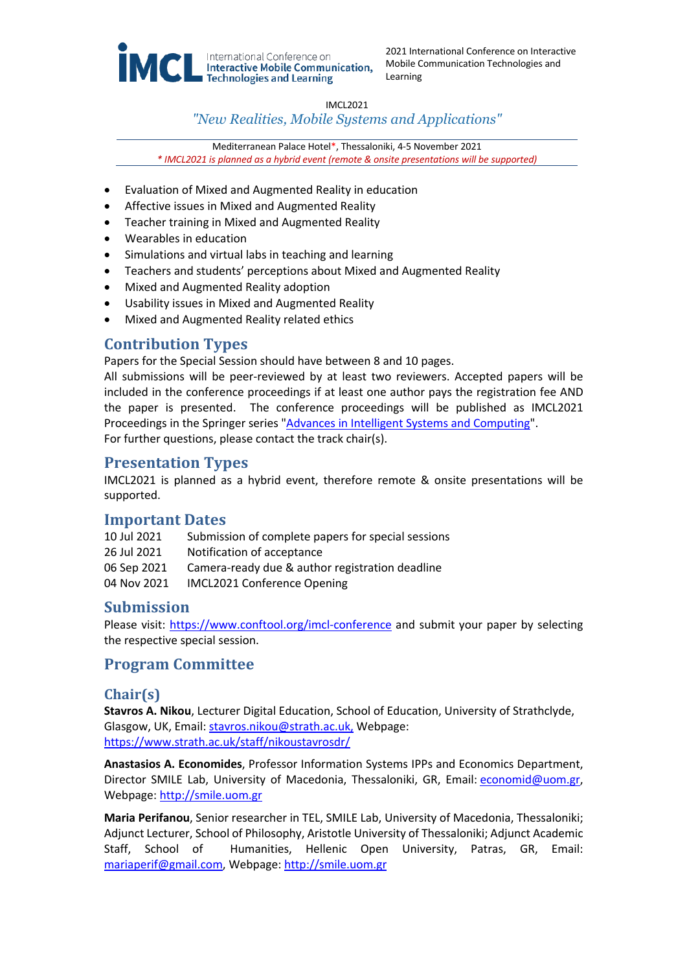

2021 International Conference on Interactive Mobile Communication Technologies and Learning

IMCL2021

#### *"New Realities, Mobile Systems and Applications"*

Mediterranean Palace Hotel\*, Thessaloniki, 4-5 November 2021 *\* IMCL2021 is planned as a hybrid event (remote & onsite presentations will be supported)*

- Evaluation of Mixed and Augmented Reality in education
- Affective issues in Mixed and Augmented Reality
- Teacher training in Mixed and Augmented Reality
- Wearables in education
- Simulations and virtual labs in teaching and learning
- Teachers and students' perceptions about Mixed and Augmented Reality
- Mixed and Augmented Reality adoption
- Usability issues in Mixed and Augmented Reality
- Mixed and Augmented Reality related ethics

## **Contribution Types**

Papers for the Special Session should have between 8 and 10 pages.

All submissions will be peer-reviewed by at least two reviewers. Accepted papers will be included in the conference proceedings if at least one author pays the registration fee AND the paper is presented. The conference proceedings will be published as IMCL2021 Proceedings in the Springer series "Advances in Intelligent Systems and Computing". For further questions, please contact the track chair(s).

#### **Presentation Types**

IMCL2021 is planned as a hybrid event, therefore remote & onsite presentations will be supported.

## **Important Dates**

| 10 Jul 2021 | Submission of complete papers for special sessions |
|-------------|----------------------------------------------------|
| 26 Jul 2021 | Notification of acceptance                         |
| 06 Sep 2021 | Camera-ready due & author registration deadline    |
| 04 Nov 2021 | <b>IMCL2021 Conference Opening</b>                 |

## **Submission**

Please visit: https://www.conftool.org/imcl-conference and submit your paper by selecting the respective special session.

#### **Program Committee**

#### **Chair(s)**

**Stavros A. Nikou**, Lecturer Digital Education, School of Education, University of Strathclyde, Glasgow, UK, Email: stavros.nikou@strath.ac.uk, Webpage: https://www.strath.ac.uk/staff/nikoustavrosdr/

**Anastasios A. Economides**, Professor Information Systems IPPs and Economics Department, Director SMILE Lab, University of Macedonia, Thessaloniki, GR, Email: economid@uom.gr, Webpage: http://smile.uom.gr

**Maria Perifanou**, Senior researcher in TEL, SMILE Lab, University of Macedonia, Thessaloniki; Adjunct Lecturer, School of Philosophy, Aristotle University of Thessaloniki; Adjunct Academic Staff, School of Humanities, Hellenic Open University, Patras, GR, Email: mariaperif@gmail.com, Webpage: http://smile.uom.gr